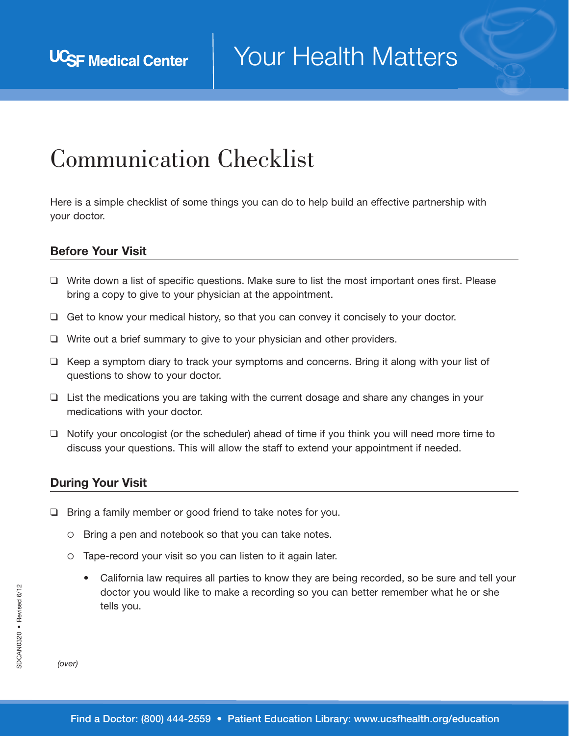## Communication Checklist

Here is a simple checklist of some things you can do to help build an effective partnership with your doctor.

## Before Your Visit

- ❑ Write down a list of specific questions. Make sure to list the most important ones first. Please bring a copy to give to your physician at the appointment.
- ❑ Get to know your medical history, so that you can convey it concisely to your doctor.
- ❑ Write out a brief summary to give to your physician and other providers.
- ❑ Keep a symptom diary to track your symptoms and concerns. Bring it along with your list of questions to show to your doctor.
- ❑ List the medications you are taking with the current dosage and share any changes in your medications with your doctor.
- ❑ Notify your oncologist (or the scheduler) ahead of time if you think you will need more time to discuss your questions. This will allow the staff to extend your appointment if needed.

## During Your Visit

- ❑ Bring a family member or good friend to take notes for you.
	- Bring a pen and notebook so that you can take notes.
	- Tape-record your visit so you can listen to it again later.
		- California law requires all parties to know they are being recorded, so be sure and tell your doctor you would like to make a recording so you can better remember what he or she tells you.

*(over)*